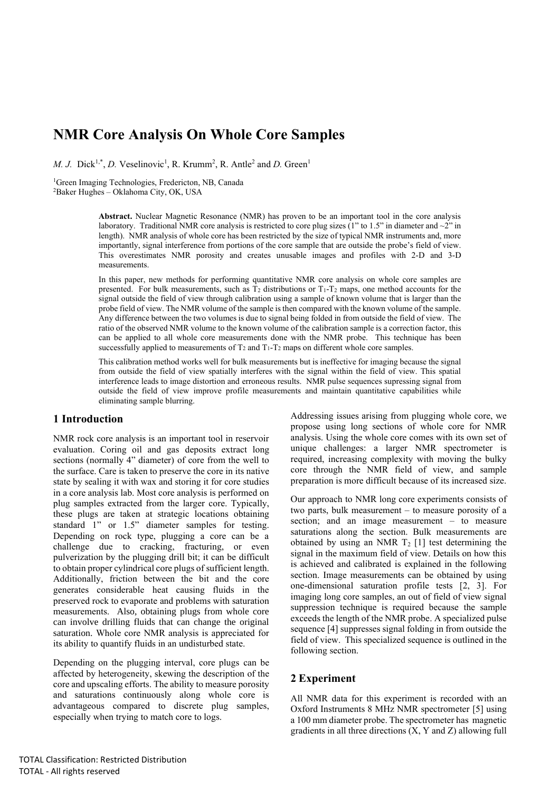# **NMR Core Analysis On Whole Core Samples**

*M. J.* Dick<sup>1,\*</sup>, *D.* Veselinovic<sup>1</sup>, R. Krumm<sup>2</sup>, R. Antle<sup>2</sup> and *D.* Green<sup>1</sup>

<sup>1</sup>Green Imaging Technologies, Fredericton, NB, Canada <sup>2</sup>Baker Hughes – Oklahoma City, OK, USA

> **Abstract.** Nuclear Magnetic Resonance (NMR) has proven to be an important tool in the core analysis laboratory. Traditional NMR core analysis is restricted to core plug sizes (1" to 1.5" in diameter and ~2" in length). NMR analysis of whole core has been restricted by the size of typical NMR instruments and, more importantly, signal interference from portions of the core sample that are outside the probe's field of view. This overestimates NMR porosity and creates unusable images and profiles with 2-D and 3-D measurements.

> In this paper, new methods for performing quantitative NMR core analysis on whole core samples are presented. For bulk measurements, such as  $T_2$  distributions or  $T_1$ - $T_2$  maps, one method accounts for the signal outside the field of view through calibration using a sample of known volume that is larger than the probe field of view. The NMR volume of the sample is then compared with the known volume of the sample. Any difference between the two volumes is due to signal being folded in from outside the field of view. The ratio of the observed NMR volume to the known volume of the calibration sample is a correction factor, this can be applied to all whole core measurements done with the NMR probe. This technique has been successfully applied to measurements of  $T_2$  and  $T_1 - T_2$  maps on different whole core samples.

> This calibration method works well for bulk measurements but is ineffective for imaging because the signal from outside the field of view spatially interferes with the signal within the field of view. This spatial interference leads to image distortion and erroneous results. NMR pulse sequences supressing signal from outside the field of view improve profile measurements and maintain quantitative capabilities while eliminating sample blurring.

### **1 Introduction**

NMR rock core analysis is an important tool in reservoir evaluation. Coring oil and gas deposits extract long sections (normally 4" diameter) of core from the well to the surface. Care is taken to preserve the core in its native state by sealing it with wax and storing it for core studies in a core analysis lab. Most core analysis is performed on plug samples extracted from the larger core. Typically, these plugs are taken at strategic locations obtaining standard 1" or 1.5" diameter samples for testing. Depending on rock type, plugging a core can be a challenge due to cracking, fracturing, or even pulverization by the plugging drill bit; it can be difficult to obtain proper cylindrical core plugs of sufficient length. Additionally, friction between the bit and the core generates considerable heat causing fluids in the preserved rock to evaporate and problems with saturation measurements. Also, obtaining plugs from whole core can involve drilling fluids that can change the original saturation. Whole core NMR analysis is appreciated for its ability to quantify fluids in an undisturbed state.

Depending on the plugging interval, core plugs can be affected by heterogeneity, skewing the description of the core and upscaling efforts. The ability to measure porosity and saturations continuously along whole core is advantageous compared to discrete plug samples, especially when trying to match core to logs.

Addressing issues arising from plugging whole core, we propose using long sections of whole core for NMR analysis. Using the whole core comes with its own set of unique challenges: a larger NMR spectrometer is required, increasing complexity with moving the bulky core through the NMR field of view, and sample preparation is more difficult because of its increased size.

Our approach to NMR long core experiments consists of two parts, bulk measurement – to measure porosity of a section; and an image measurement – to measure saturations along the section. Bulk measurements are obtained by using an NMR  $T_2$  [1] test determining the signal in the maximum field of view. Details on how this is achieved and calibrated is explained in the following section. Image measurements can be obtained by using one-dimensional saturation profile tests [2, 3]. For imaging long core samples, an out of field of view signal suppression technique is required because the sample exceeds the length of the NMR probe. A specialized pulse sequence [4] suppresses signal folding in from outside the field of view. This specialized sequence is outlined in the following section.

## **2 Experiment**

All NMR data for this experiment is recorded with an Oxford Instruments 8 MHz NMR spectrometer [5] using a 100 mm diameter probe. The spectrometer has magnetic gradients in all three directions (X, Y and Z) allowing full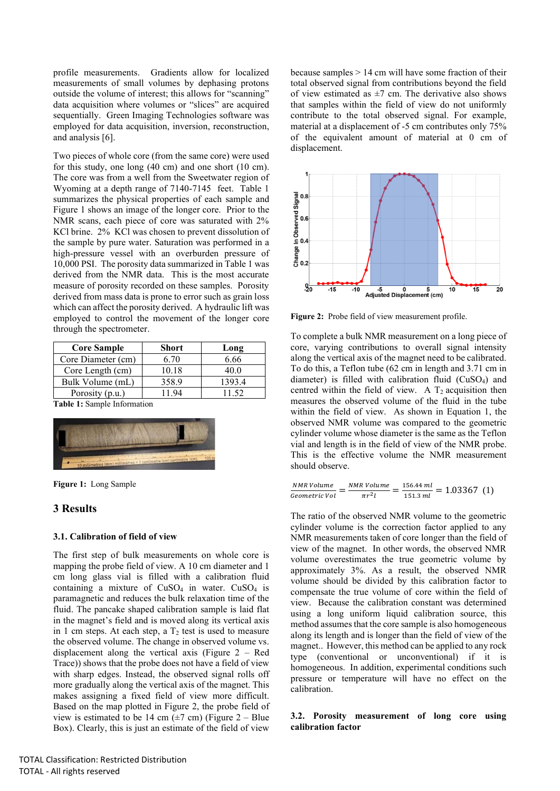profile measurements. Gradients allow for localized measurements of small volumes by dephasing protons outside the volume of interest; this allows for "scanning" data acquisition where volumes or "slices" are acquired sequentially. Green Imaging Technologies software was employed for data acquisition, inversion, reconstruction, and analysis [6].

Two pieces of whole core (from the same core) were used for this study, one long (40 cm) and one short (10 cm). The core was from a well from the Sweetwater region of Wyoming at a depth range of 7140-7145 feet. Table 1 summarizes the physical properties of each sample and Figure 1 shows an image of the longer core. Prior to the NMR scans, each piece of core was saturated with 2% KCl brine. 2% KCl was chosen to prevent dissolution of the sample by pure water. Saturation was performed in a high-pressure vessel with an overburden pressure of 10,000 PSI. The porosity data summarized in Table 1 was derived from the NMR data. This is the most accurate measure of porosity recorded on these samples. Porosity derived from mass data is prone to error such as grain loss which can affect the porosity derived. A hydraulic lift was employed to control the movement of the longer core through the spectrometer.

| <b>Core Sample</b> | <b>Short</b> | Long   |
|--------------------|--------------|--------|
| Core Diameter (cm) | 6.70         | 6.66   |
| Core Length (cm)   | 10.18        | 40.0   |
| Bulk Volume (mL)   | 358.9        | 1393.4 |
| Porosity (p.u.)    | 194          | 11.52  |

**Table 1:** Sample Information



**Figure 1:** Long Sample

## **3 Results**

### **3.1. Calibration of field of view**

The first step of bulk measurements on whole core is mapping the probe field of view. A 10 cm diameter and 1 cm long glass vial is filled with a calibration fluid containing a mixture of  $CuSO<sub>4</sub>$  in water.  $CuSO<sub>4</sub>$  is paramagnetic and reduces the bulk relaxation time of the fluid. The pancake shaped calibration sample is laid flat in the magnet's field and is moved along its vertical axis in 1 cm steps. At each step, a  $T_2$  test is used to measure the observed volume. The change in observed volume vs. displacement along the vertical axis (Figure 2 – Red Trace)) shows that the probe does not have a field of view with sharp edges. Instead, the observed signal rolls off more gradually along the vertical axis of the magnet. This makes assigning a fixed field of view more difficult. Based on the map plotted in Figure 2, the probe field of view is estimated to be 14 cm  $(\pm 7 \text{ cm})$  (Figure 2 – Blue Box). Clearly, this is just an estimate of the field of view

because samples > 14 cm will have some fraction of their total observed signal from contributions beyond the field of view estimated as  $\pm 7$  cm. The derivative also shows that samples within the field of view do not uniformly contribute to the total observed signal. For example, material at a displacement of -5 cm contributes only 75% of the equivalent amount of material at 0 cm of displacement.



**Figure 2:** Probe field of view measurement profile.

To complete a bulk NMR measurement on a long piece of core, varying contributions to overall signal intensity along the vertical axis of the magnet need to be calibrated. To do this, a Teflon tube (62 cm in length and 3.71 cm in diameter) is filled with calibration fluid (CuSO4) and centred within the field of view. A  $T_2$  acquisition then measures the observed volume of the fluid in the tube within the field of view. As shown in Equation 1, the observed NMR volume was compared to the geometric cylinder volume whose diameter is the same as the Teflon vial and length is in the field of view of the NMR probe. This is the effective volume the NMR measurement should observe.

$$
\frac{NMR\,Volume}{Geometric\,Vol} = \frac{NMR\,Volume}{\pi r^2 l} = \frac{156.44\,ml}{151.3\,ml} = 1.03367\,\,(1)
$$

The ratio of the observed NMR volume to the geometric cylinder volume is the correction factor applied to any NMR measurements taken of core longer than the field of view of the magnet. In other words, the observed NMR volume overestimates the true geometric volume by approximately 3%. As a result, the observed NMR volume should be divided by this calibration factor to compensate the true volume of core within the field of view. Because the calibration constant was determined using a long uniform liquid calibration source, this method assumes that the core sample is also homogeneous along its length and is longer than the field of view of the magnet.. However, this method can be applied to any rock type (conventional or unconventional) if it is homogeneous. In addition, experimental conditions such pressure or temperature will have no effect on the calibration.

#### **3.2. Porosity measurement of long core using calibration factor**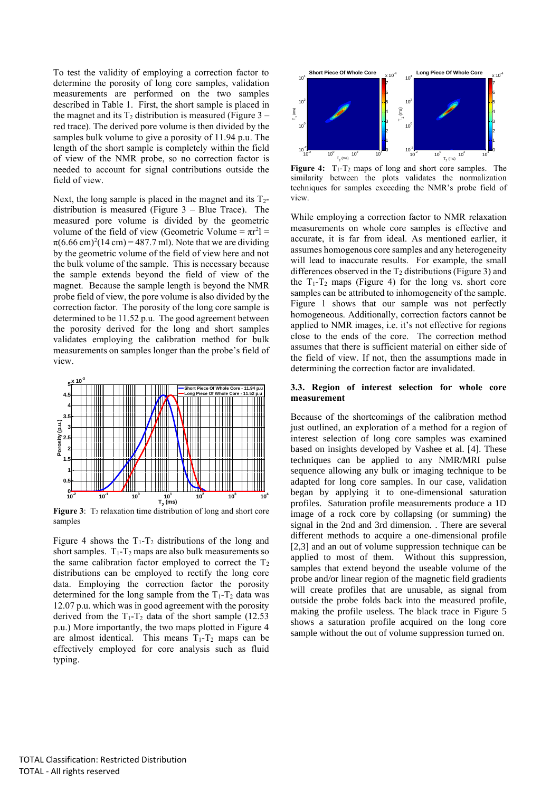To test the validity of employing a correction factor to determine the porosity of long core samples, validation measurements are performed on the two samples described in Table 1. First, the short sample is placed in the magnet and its  $T_2$  distribution is measured (Figure 3 – red trace). The derived pore volume is then divided by the samples bulk volume to give a porosity of 11.94 p.u. The length of the short sample is completely within the field of view of the NMR probe, so no correction factor is needed to account for signal contributions outside the field of view.

Next, the long sample is placed in the magnet and its  $T_2$ distribution is measured (Figure 3 – Blue Trace). The measured pore volume is divided by the geometric volume of the field of view (Geometric Volume =  $\pi r^2$ ] =  $\pi (6.66 \text{ cm})^2 (14 \text{ cm}) = 487.7 \text{ ml}$ . Note that we are dividing by the geometric volume of the field of view here and not the bulk volume of the sample. This is necessary because the sample extends beyond the field of view of the magnet. Because the sample length is beyond the NMR probe field of view, the pore volume is also divided by the correction factor. The porosity of the long core sample is determined to be 11.52 p.u. The good agreement between the porosity derived for the long and short samples validates employing the calibration method for bulk measurements on samples longer than the probe's field of view.



**Figure 3:** T<sub>2</sub> relaxation time distribution of long and short core samples

Figure 4 shows the  $T_1 - T_2$  distributions of the long and short samples.  $T_1 - T_2$  maps are also bulk measurements so the same calibration factor employed to correct the  $T_2$ distributions can be employed to rectify the long core data. Employing the correction factor the porosity determined for the long sample from the  $T_1 - T_2$  data was 12.07 p.u. which was in good agreement with the porosity derived from the  $T_1 - T_2$  data of the short sample (12.53) p.u.) More importantly, the two maps plotted in Figure 4 are almost identical. This means  $T_1 - T_2$  maps can be effectively employed for core analysis such as fluid typing.



Figure 4: T<sub>1</sub>-T<sub>2</sub> maps of long and short core samples. The similarity between the plots validates the normalization techniques for samples exceeding the NMR's probe field of view.

While employing a correction factor to NMR relaxation measurements on whole core samples is effective and accurate, it is far from ideal. As mentioned earlier, it assumes homogenous core samples and any heterogeneity will lead to inaccurate results. For example, the small differences observed in the  $T_2$  distributions (Figure 3) and the  $T_1$ - $T_2$  maps (Figure 4) for the long vs. short core samples can be attributed to inhomogeneity of the sample. Figure 1 shows that our sample was not perfectly homogeneous. Additionally, correction factors cannot be applied to NMR images, i.e. it's not effective for regions close to the ends of the core. The correction method assumes that there is sufficient material on either side of the field of view. If not, then the assumptions made in determining the correction factor are invalidated.

#### **3.3. Region of interest selection for whole core measurement**

Because of the shortcomings of the calibration method just outlined, an exploration of a method for a region of interest selection of long core samples was examined based on insights developed by Vashee et al. [4]. These techniques can be applied to any NMR/MRI pulse sequence allowing any bulk or imaging technique to be adapted for long core samples. In our case, validation began by applying it to one-dimensional saturation profiles. Saturation profile measurements produce a 1D image of a rock core by collapsing (or summing) the signal in the 2nd and 3rd dimension. . There are several different methods to acquire a one-dimensional profile [2,3] and an out of volume suppression technique can be applied to most of them. Without this suppression, samples that extend beyond the useable volume of the probe and/or linear region of the magnetic field gradients will create profiles that are unusable, as signal from outside the probe folds back into the measured profile, making the profile useless. The black trace in Figure 5 shows a saturation profile acquired on the long core sample without the out of volume suppression turned on.